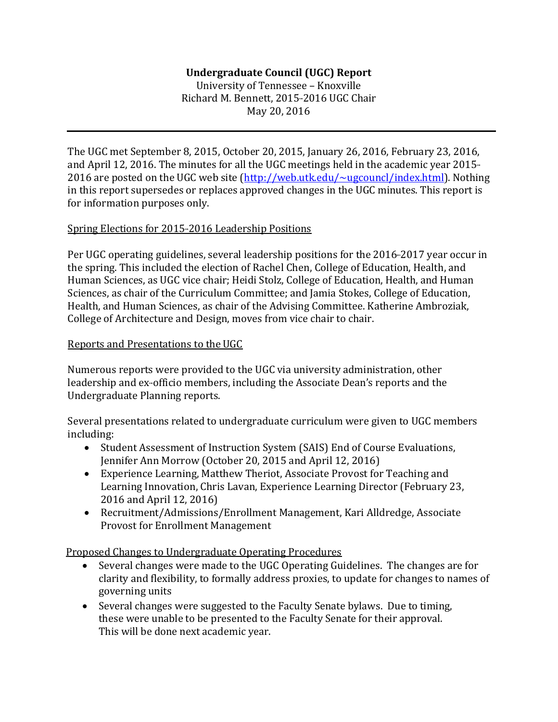# **Undergraduate Council (UGC) Report**

University of Tennessee – Knoxville Richard M. Bennett, 2015-2016 UGC Chair May 20, 2016

The UGC met September 8, 2015, October 20, 2015, January 26, 2016, February 23, 2016, and April 12, 2016. The minutes for all the UGC meetings held in the academic year 2015-2016 are posted on the UGC web site [\(http://web.utk.edu/~ugcouncl/index.html\).](http://web.utk.edu/%7Eugcouncl/index.html)) Nothing in this report supersedes or replaces approved changes in the UGC minutes. This report is for information purposes only.

# Spring Elections for 2015-2016 Leadership Positions

Per UGC operating guidelines, several leadership positions for the 2016-2017 year occur in the spring. This included the election of Rachel Chen, College of Education, Health, and Human Sciences, as UGC vice chair; Heidi Stolz, College of Education, Health, and Human Sciences, as chair of the Curriculum Committee; and Jamia Stokes, College of Education, Health, and Human Sciences, as chair of the Advising Committee. Katherine Ambroziak, College of Architecture and Design, moves from vice chair to chair.

# Reports and Presentations to the UGC

Numerous reports were provided to the UGC via university administration, other leadership and ex-officio members, including the Associate Dean's reports and the Undergraduate Planning reports.

Several presentations related to undergraduate curriculum were given to UGC members including:

- Student Assessment of Instruction System (SAIS) End of Course Evaluations, Jennifer Ann Morrow (October 20, 2015 and April 12, 2016)
- Experience Learning, Matthew Theriot, Associate Provost for Teaching and Learning Innovation, Chris Lavan, Experience Learning Director (February 23, 2016 and April 12, 2016)
- Recruitment/Admissions/Enrollment Management, Kari Alldredge, Associate Provost for Enrollment Management

Proposed Changes to Undergraduate Operating Procedures

- Several changes were made to the UGC Operating Guidelines. The changes are for clarity and flexibility, to formally address proxies, to update for changes to names of governing units
- Several changes were suggested to the Faculty Senate bylaws. Due to timing, these were unable to be presented to the Faculty Senate for their approval. This will be done next academic year.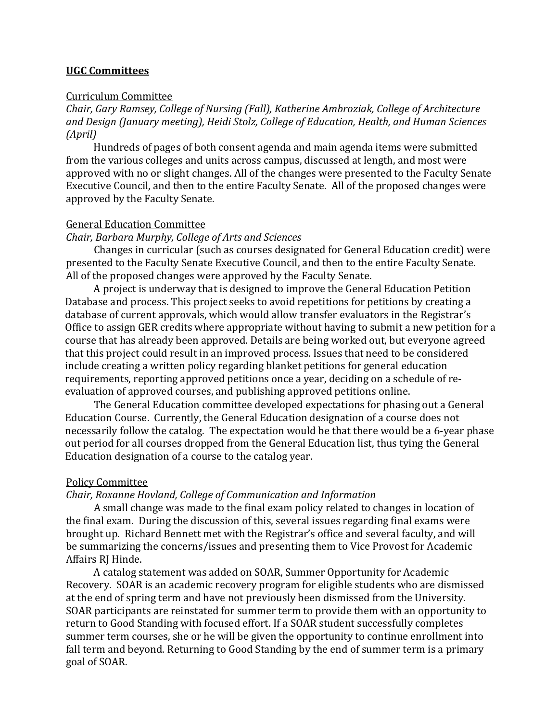## **UGC Committees**

#### Curriculum Committee

*Chair, Gary Ramsey, College of Nursing (Fall), Katherine Ambroziak, College of Architecture and Design (January meeting), Heidi Stolz, College of Education, Health, and Human Sciences (April)*

Hundreds of pages of both consent agenda and main agenda items were submitted from the various colleges and units across campus, discussed at length, and most were approved with no or slight changes. All of the changes were presented to the Faculty Senate Executive Council, and then to the entire Faculty Senate. All of the proposed changes were approved by the Faculty Senate.

#### General Education Committee

### *Chair, Barbara Murphy, College of Arts and Sciences*

Changes in curricular (such as courses designated for General Education credit) were presented to the Faculty Senate Executive Council, and then to the entire Faculty Senate. All of the proposed changes were approved by the Faculty Senate.

A project is underway that is designed to improve the General Education Petition Database and process. This project seeks to avoid repetitions for petitions by creating a database of current approvals, which would allow transfer evaluators in the Registrar's Office to assign GER credits where appropriate without having to submit a new petition for a course that has already been approved. Details are being worked out, but everyone agreed that this project could result in an improved process. Issues that need to be considered include creating a written policy regarding blanket petitions for general education requirements, reporting approved petitions once a year, deciding on a schedule of reevaluation of approved courses, and publishing approved petitions online.

The General Education committee developed expectations for phasing out a General Education Course. Currently, the General Education designation of a course does not necessarily follow the catalog. The expectation would be that there would be a 6-year phase out period for all courses dropped from the General Education list, thus tying the General Education designation of a course to the catalog year.

### Policy Committee

#### *Chair, Roxanne Hovland, College of Communication and Information*

A small change was made to the final exam policy related to changes in location of the final exam. During the discussion of this, several issues regarding final exams were brought up. Richard Bennett met with the Registrar's office and several faculty, and will be summarizing the concerns/issues and presenting them to Vice Provost for Academic Affairs RJ Hinde.

A catalog statement was added on SOAR, Summer Opportunity for Academic Recovery. SOAR is an academic recovery program for eligible students who are dismissed at the end of spring term and have not previously been dismissed from the University. SOAR participants are reinstated for summer term to provide them with an opportunity to return to Good Standing with focused effort. If a SOAR student successfully completes summer term courses, she or he will be given the opportunity to continue enrollment into fall term and beyond. Returning to Good Standing by the end of summer term is a primary goal of SOAR.